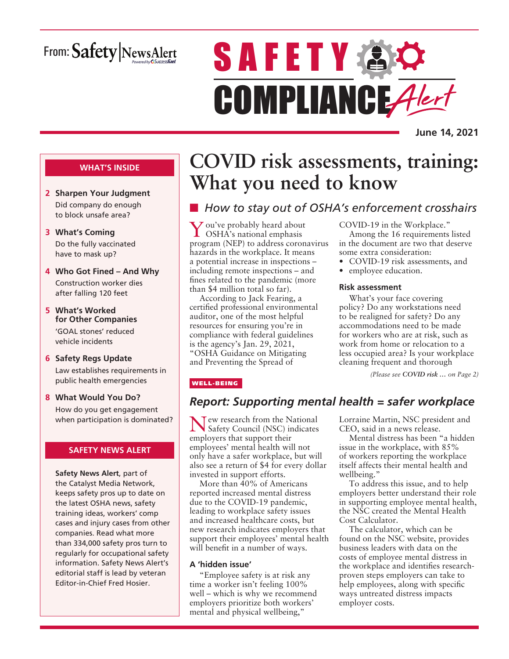# From: Safety NewsAlert

# **SAFETY AO** COMPLIANCE Alert

**June 14, 2021**

#### **WHAT'S INSIDE**

- **2 Sharpen Your Judgment** Did company do enough to block unsafe area?
- **3 What's Coming** Do the fully vaccinated have to mask up?
- **4 Who Got Fined And Why** Construction worker dies after falling 120 feet
- **5 What's Worked for Other Companies** 'GOAL stones' reduced vehicle incidents
- **6 Safety Regs Update** Law establishes requirements in public health emergencies
- **8 What Would You Do?** How do you get engagement when participation is dominated?

#### **SAFETY NEWS ALERT**

**Safety News Alert**, part of the Catalyst Media Network, keeps safety pros up to date on the latest OSHA news, safety training ideas, workers' comp cases and injury cases from other companies. Read what more than 334,000 safety pros turn to regularly for occupational safety information. Safety News Alert's editorial staff is lead by veteran Editor-in-Chief Fred Hosier.

# **COVID risk assessments, training: What you need to know**

# ■ How to stay out of OSHA's enforcement crosshairs

You've probably heard about OSHA's national emphasis program (NEP) to address coronavirus hazards in the workplace. It means a potential increase in inspections – including remote inspections – and fines related to the pandemic (more than \$4 million total so far).

According to Jack Fearing, a certified professional environmental auditor, one of the most helpful resources for ensuring you're in compliance with federal guidelines is the agency's Jan. 29, 2021, "OSHA Guidance on Mitigating and Preventing the Spread of

#### COVID-19 in the Workplace."

Among the 16 requirements listed in the document are two that deserve some extra consideration:

- COVID-19 risk assessments, and
- employee education.

#### **Risk assessment**

What's your face covering policy? Do any workstations need to be realigned for safety? Do any accommodations need to be made for workers who are at risk, such as work from home or relocation to a less occupied area? Is your workplace cleaning frequent and thorough

*(Please see COVID risk … on Page 2)*

#### WELL-BEING

# *Report: Supporting mental health = safer workplace*

Tew research from the National Safety Council (NSC) indicates employers that support their employees' mental health will not only have a safer workplace, but will also see a return of \$4 for every dollar invested in support efforts.

More than 40% of Americans reported increased mental distress due to the COVID-19 pandemic, leading to workplace safety issues and increased healthcare costs, but new research indicates employers that support their employees' mental health will benefit in a number of ways.

#### **A 'hidden issue'**

"Employee safety is at risk any time a worker isn't feeling 100% well – which is why we recommend employers prioritize both workers' mental and physical wellbeing,"

Lorraine Martin, NSC president and CEO, said in a news release.

Mental distress has been "a hidden issue in the workplace, with 85% of workers reporting the workplace itself affects their mental health and wellbeing."

To address this issue, and to help employers better understand their role in supporting employee mental health, the NSC created the Mental Health Cost Calculator.

The calculator, which can be found on the NSC website, provides business leaders with data on the costs of employee mental distress in the workplace and identifies researchproven steps employers can take to help employees, along with specific ways untreated distress impacts employer costs.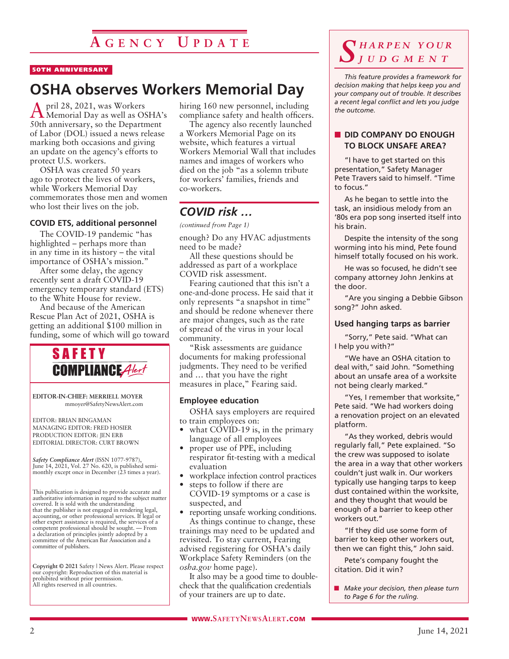#### 50TH ANNIVERSARY

# **OSHA observes Workers Memorial Day**

April 28, 2021, was Workers Memorial Day as well as OSHA's 50th anniversary, so the Department of Labor (DOL) issued a news release marking both occasions and giving an update on the agency's efforts to protect U.S. workers.

OSHA was created 50 years ago to protect the lives of workers, while Workers Memorial Day commemorates those men and women who lost their lives on the job.

#### **COVID ETS, additional personnel**

The COVID-19 pandemic "has highlighted – perhaps more than in any time in its history – the vital importance of OSHA's mission."

After some delay, the agency recently sent a draft COVID-19 emergency temporary standard (ETS) to the White House for review.

And because of the American Rescue Plan Act of 2021, OSHA is getting an additional \$100 million in funding, some of which will go toward



**EDITOR-IN-CHIEF: MERRIELL MOYER** mmoyer@SafetyNewsAlert.com

EDITOR: BRIAN BINGAMAN MANAGING EDITOR: FRED HOSIER PRODUCTION EDITOR: JEN ERB EDITORIAL DIRECTOR: CURT BROWN

*Safety Compliance Alert* (ISSN 1077-9787), June 14, 2021, Vol. 27 No. 620, is published semi-monthly except once in December (23 times a year).

This publication is designed to provide accurate and authoritative information in regard to the subject matter covered. It is sold with the understanding that the publisher is not engaged in rendering legal, accounting, or other professional services. If legal or other expert assistance is required, the services of a competent professional should be sought. — From a declaration of principles jointly adopted by a committee of the American Bar Association and a committee of publishers.

**Copyright © 2021** Safety | News Alert. Please respect our copyright: Reproduction of this material is prohibited without prior permission. All rights reserved in all countries.

hiring 160 new personnel, including compliance safety and health officers.

The agency also recently launched a Workers Memorial Page on its website, which features a virtual Workers Memorial Wall that includes names and images of workers who died on the job "as a solemn tribute for workers' families, friends and co-workers.

# *COVID risk …*

*(continued from Page 1)*

enough? Do any HVAC adjustments need to be made?

All these questions should be addressed as part of a workplace COVID risk assessment.

Fearing cautioned that this isn't a one-and-done process. He said that it only represents "a snapshot in time" and should be redone whenever there are major changes, such as the rate of spread of the virus in your local community.

"Risk assessments are guidance documents for making professional judgments. They need to be verified and … that you have the right measures in place," Fearing said.

#### **Employee education**

OSHA says employers are required to train employees on:

- what COVID-19 is, in the primary language of all employees
- proper use of PPE, including respirator fit-testing with a medical evaluation
- workplace infection control practices
- steps to follow if there are COVID-19 symptoms or a case is suspected, and

• reporting unsafe working conditions. As things continue to change, these trainings may need to be updated and revisited. To stay current, Fearing advised registering for OSHA's daily Workplace Safety Reminders (on the *osha.gov* home page).

It also may be a good time to doublecheck that the qualification credentials of your trainers are up to date.

# *S h a r p e n y o u r j u d g m e n t*

*This feature provides a framework for decision making that helps keep you and your company out of trouble. It describes a recent legal conflict and lets you judge the outcome.*

#### **NO DID COMPANY DO ENOUGH TO BLOCK UNSAFE AREA?**

"I have to get started on this presentation," Safety Manager Pete Travers said to himself. "Time to focus."

As he began to settle into the task, an insidious melody from an '80s era pop song inserted itself into his brain.

Despite the intensity of the song worming into his mind, Pete found himself totally focused on his work.

He was so focused, he didn't see company attorney John Jenkins at the door.

"Are you singing a Debbie Gibson song?" John asked.

#### **Used hanging tarps as barrier**

"Sorry," Pete said. "What can I help you with?"

"We have an OSHA citation to deal with," said John. "Something about an unsafe area of a worksite not being clearly marked."

"Yes, I remember that worksite," Pete said. "We had workers doing a renovation project on an elevated platform.

"As they worked, debris would regularly fall," Pete explained. "So the crew was supposed to isolate the area in a way that other workers couldn't just walk in. Our workers typically use hanging tarps to keep dust contained within the worksite, and they thought that would be enough of a barrier to keep other workers out."

"If they did use some form of barrier to keep other workers out, then we can fight this," John said.

Pete's company fought the citation. Did it win?

**n** *Make your decision, then please turn to Page 6 for the ruling.*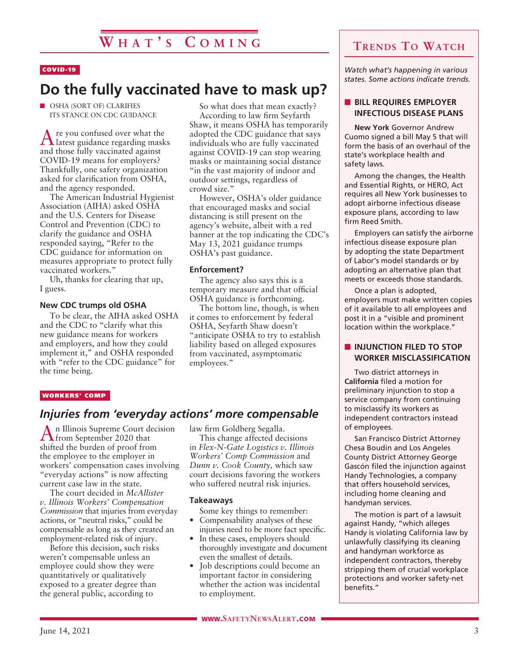#### COVID-19

# **Do the fully vaccinated have to mask up?**

**N OSHA (SORT OF) CLARIFIES** ITS STANCE ON CDC GUIDANCE

Are you confused over what the latest guidance regarding masks and those fully vaccinated against COVID-19 means for employers? Thankfully, one safety organization asked for clarification from OSHA, and the agency responded.

The American Industrial Hygienist Association (AIHA) asked OSHA and the U.S. Centers for Disease Control and Prevention (CDC) to clarify the guidance and OSHA responded saying, "Refer to the CDC guidance for information on measures appropriate to protect fully vaccinated workers."

Uh, thanks for clearing that up, I guess.

#### **New CDC trumps old OSHA**

To be clear, the AIHA asked OSHA and the CDC to "clarify what this new guidance means for workers and employers, and how they could implement it," and OSHA responded with "refer to the CDC guidance" for the time being.

So what does that mean exactly? According to law firm Seyfarth Shaw, it means OSHA has temporarily adopted the CDC guidance that says individuals who are fully vaccinated against COVID-19 can stop wearing masks or maintaining social distance "in the vast majority of indoor and outdoor settings, regardless of crowd size."

However, OSHA's older guidance that encouraged masks and social distancing is still present on the agency's website, albeit with a red banner at the top indicating the CDC's May 13, 2021 guidance trumps OSHA's past guidance.

#### **Enforcement?**

The agency also says this is a temporary measure and that official OSHA guidance is forthcoming.

The bottom line, though, is when it comes to enforcement by federal OSHA, Seyfarth Shaw doesn't "anticipate OSHA to try to establish liability based on alleged exposures from vaccinated, asymptomatic employees."

#### WORKERS' COMP

#### *Injuries from 'everyday actions' more compensable*

An Illinois Supreme Court decision<br> **A** from September 2020 that shifted the burden of proof from the employee to the employer in workers' compensation cases involving "everyday actions" is now affecting current case law in the state.

The court decided in *McAllister v. Illinois Workers' Compensation Commission* that injuries from everyday actions, or "neutral risks," could be compensable as long as they created an employment-related risk of injury.

Before this decision, such risks weren't compensable unless an employee could show they were quantitatively or qualitatively exposed to a greater degree than the general public, according to

law firm Goldberg Segalla.

This change affected decisions in *Flex-N-Gate Logistics v. Illinois Workers' Comp Commission* and *Dunn v. Cook County,* which saw court decisions favoring the workers who suffered neutral risk injuries.

#### **Takeaways**

Some key things to remember: • Compensability analyses of these

- injuries need to be more fact specific. • In these cases, employers should
- thoroughly investigate and document even the smallest of details.
- Job descriptions could become an important factor in considering whether the action was incidental to employment.

# **Trends To Watch**

*Watch what's happening in various states. Some actions indicate trends.*

#### **N** BILL REQUIRES EMPLOYER **INFECTIOUS DISEASE PLANS**

**New York** Governor Andrew Cuomo signed a bill May 5 that will form the basis of an overhaul of the state's workplace health and safety laws.

Among the changes, the Health and Essential Rights, or HERO, Act requires all New York businesses to adopt airborne infectious disease exposure plans, according to law firm Reed Smith.

Employers can satisfy the airborne infectious disease exposure plan by adopting the state Department of Labor's model standards or by adopting an alternative plan that meets or exceeds those standards.

Once a plan is adopted, employers must make written copies of it available to all employees and post it in a "visible and prominent location within the workplace."

#### **N** INJUNCTION FILED TO STOP **WORKER MISCLASSIFICATION**

Two district attorneys in **California** filed a motion for preliminary injunction to stop a service company from continuing to misclassify its workers as independent contractors instead of employees.

San Francisco District Attorney Chesa Boudin and Los Angeles County District Attorney George Gascón filed the injunction against Handy Technologies, a company that offers household services, including home cleaning and handyman services.

The motion is part of a lawsuit against Handy, "which alleges Handy is violating California law by unlawfully classifying its cleaning and handyman workforce as independent contractors, thereby stripping them of crucial workplace protections and worker safety-net benefits."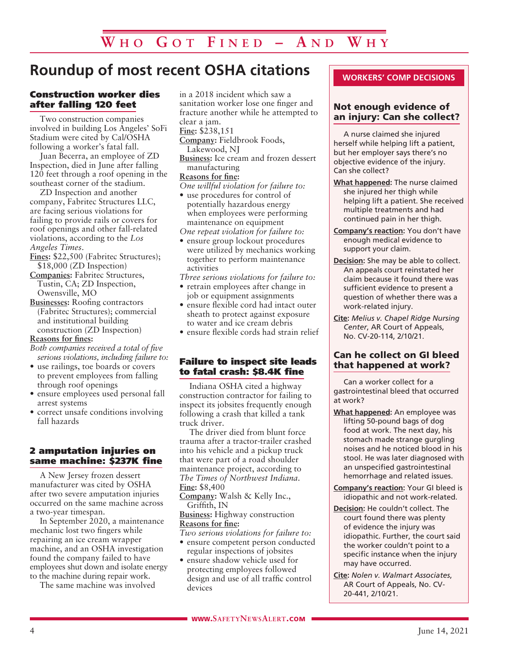# **Roundup of most recent OSHA citations**

#### Construction worker dies after falling 120 feet

Two construction companies involved in building Los Angeles' SoFi Stadium were cited by Cal/OSHA following a worker's fatal fall.

Juan Becerra, an employee of ZD Inspection, died in June after falling 120 feet through a roof opening in the southeast corner of the stadium.

ZD Inspection and another company, Fabritec Structures LLC, are facing serious violations for failing to provide rails or covers for roof openings and other fall-related violations, according to the *Los Angeles Times*.

- **Fines:** \$22,500 (Fabritec Structures); \$18,000 (ZD Inspection)
- **Companies:** Fabritec Structures, Tustin, CA; ZD Inspection, Owensville, MO
- **Businesses:** Roofing contractors (Fabritec Structures); commercial and institutional building construction (ZD Inspection)

#### **Reasons for fines:**

*Both companies received a total of five serious violations, including failure to:*

- use railings, toe boards or covers to prevent employees from falling through roof openings
- ensure employees used personal fall arrest systems
- correct unsafe conditions involving fall hazards

#### 2 amputation injuries on same machine: \$237K fine

A New Jersey frozen dessert manufacturer was cited by OSHA after two severe amputation injuries occurred on the same machine across a two-year timespan.

In September 2020, a maintenance mechanic lost two fingers while repairing an ice cream wrapper machine, and an OSHA investigation found the company failed to have employees shut down and isolate energy to the machine during repair work.

The same machine was involved

in a 2018 incident which saw a sanitation worker lose one finger and fracture another while he attempted to clear a jam.

**Fine:** \$238,151

- **Company:** Fieldbrook Foods, Lakewood, NJ
- **Business:** Ice cream and frozen dessert manufacturing

#### **Reasons for fine:**

*One willful violation for failure to:*

- use procedures for control of potentially hazardous energy when employees were performing maintenance on equipment
- *One repeat violation for failure to:*
- ensure group lockout procedures were utilized by mechanics working together to perform maintenance activities

*Three serious violations for failure to:* 

- retrain employees after change in job or equipment assignments
- ensure flexible cord had intact outer sheath to protect against exposure to water and ice cream debris
- ensure flexible cords had strain relief

#### Failure to inspect site leads to fatal crash: \$8.4K fine

Indiana OSHA cited a highway construction contractor for failing to inspect its jobsites frequently enough following a crash that killed a tank truck driver.

The driver died from blunt force trauma after a tractor-trailer crashed into his vehicle and a pickup truck that were part of a road shoulder maintenance project, according to *The Times of Northwest Indiana*. **Fine:** \$8,400

**Company:** Walsh & Kelly Inc., Griffith, IN

**Business:** Highway construction **Reasons for fine:**

*Two serious violations for failure to:*

- ensure competent person conducted regular inspections of jobsites
- ensure shadow vehicle used for protecting employees followed design and use of all traffic control devices

#### **WORKERS' COMP DECISIONS**

#### Not enough evidence of an injury: Can she collect?

A nurse claimed she injured herself while helping lift a patient, but her employer says there's no objective evidence of the injury. Can she collect?

- **What happened:** The nurse claimed she injured her thigh while helping lift a patient. She received multiple treatments and had continued pain in her thigh.
- **Company's reaction:** You don't have enough medical evidence to support your claim.
- **Decision:** She may be able to collect. An appeals court reinstated her claim because it found there was sufficient evidence to present a question of whether there was a work-related injury.
- **Cite:** *Melius v. Chapel Ridge Nursing Center*, AR Court of Appeals, No. CV-20-114, 2/10/21.

#### Can he collect on GI bleed that happened at work?

Can a worker collect for a gastrointestinal bleed that occurred at work?

- **What happened:** An employee was lifting 50-pound bags of dog food at work. The next day, his stomach made strange gurgling noises and he noticed blood in his stool. He was later diagnosed with an unspecified gastrointestinal hemorrhage and related issues.
- **Company's reaction:** Your GI bleed is idiopathic and not work-related.
- **Decision:** He couldn't collect. The court found there was plenty of evidence the injury was idiopathic. Further, the court said the worker couldn't point to a specific instance when the injury may have occurred.
- **Cite:** *Nolen v. Walmart Associates*, AR Court of Appeals, No. CV-20-441, 2/10/21.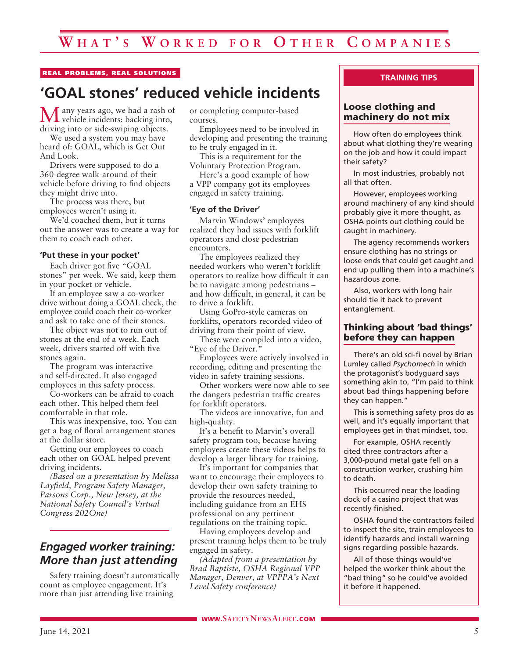#### REAL PROBLEMS, REAL SOLUTIONS

# **'GOAL stones' reduced vehicle incidents**

Many years ago, we had a rash of vehicle incidents: backing into, driving into or side-swiping objects.

We used a system you may have heard of: GOAL, which is Get Out And Look.

Drivers were supposed to do a 360-degree walk-around of their vehicle before driving to find objects they might drive into.

The process was there, but employees weren't using it.

We'd coached them, but it turns out the answer was to create a way for them to coach each other.

#### **'Put these in your pocket'**

Each driver got five "GOAL stones" per week. We said, keep them in your pocket or vehicle.

If an employee saw a co-worker drive without doing a GOAL check, the employee could coach their co-worker and ask to take one of their stones.

The object was not to run out of stones at the end of a week. Each week, drivers started off with five stones again.

The program was interactive and self-directed. It also engaged employees in this safety process.

Co-workers can be afraid to coach each other. This helped them feel comfortable in that role.

This was inexpensive, too. You can get a bag of floral arrangement stones at the dollar store.

Getting our employees to coach each other on GOAL helped prevent driving incidents.

*(Based on a presentation by Melissa Layfield, Program Safety Manager, Parsons Corp., New Jersey, at the National Safety Council's Virtual Congress 202One)*

### *Engaged worker training: More than just attending*

Safety training doesn't automatically count as employee engagement. It's more than just attending live training

or completing computer-based courses.

Employees need to be involved in developing and presenting the training to be truly engaged in it.

This is a requirement for the Voluntary Protection Program.

Here's a good example of how a VPP company got its employees engaged in safety training.

#### **'Eye of the Driver'**

Marvin Windows' employees realized they had issues with forklift operators and close pedestrian encounters.

The employees realized they needed workers who weren't forklift operators to realize how difficult it can be to navigate among pedestrians – and how difficult, in general, it can be to drive a forklift.

Using GoPro-style cameras on forklifts, operators recorded video of driving from their point of view.

These were compiled into a video, "Eye of the Driver."

Employees were actively involved in recording, editing and presenting the video in safety training sessions.

Other workers were now able to see the dangers pedestrian traffic creates for forklift operators.

The videos are innovative, fun and high-quality.

It's a benefit to Marvin's overall safety program too, because having employees create these videos helps to develop a larger library for training.

It's important for companies that want to encourage their employees to develop their own safety training to provide the resources needed, including guidance from an EHS professional on any pertinent regulations on the training topic.

Having employees develop and present training helps them to be truly engaged in safety.

*(Adapted from a presentation by Brad Baptiste, OSHA Regional VPP Manager, Denver, at VPPPA's Next Level Safety conference)*

#### **TRAINING TIPS**

#### Loose clothing and machinery do not mix

How often do employees think about what clothing they're wearing on the job and how it could impact their safety?

In most industries, probably not all that often.

However, employees working around machinery of any kind should probably give it more thought, as OSHA points out clothing could be caught in machinery.

The agency recommends workers ensure clothing has no strings or loose ends that could get caught and end up pulling them into a machine's hazardous zone.

Also, workers with long hair should tie it back to prevent entanglement.

#### Thinking about 'bad things' before they can happen

There's an old sci-fi novel by Brian Lumley called *Psychomech* in which the protagonist's bodyguard says something akin to, "I'm paid to think about bad things happening before they can happen."

This is something safety pros do as well, and it's equally important that employees get in that mindset, too.

For example, OSHA recently cited three contractors after a 3,000-pound metal gate fell on a construction worker, crushing him to death.

This occurred near the loading dock of a casino project that was recently finished.

OSHA found the contractors failed to inspect the site, train employees to identify hazards and install warning signs regarding possible hazards.

All of those things would've helped the worker think about the "bad thing" so he could've avoided it before it happened.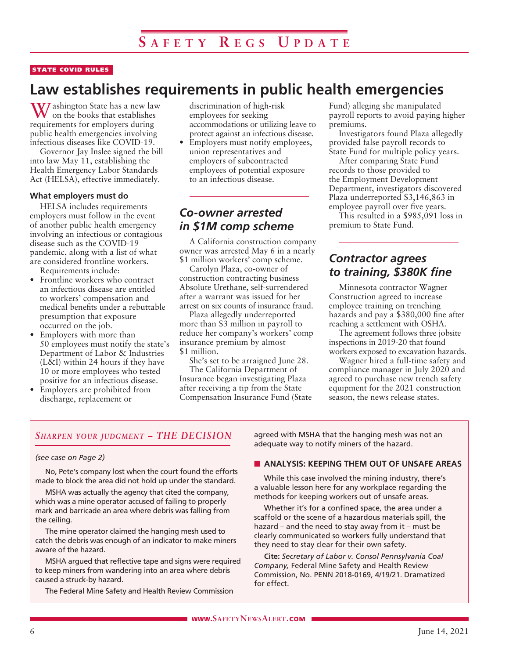#### STATE COVID RULES

# **Law establishes requirements in public health emergencies**

W/ashington State has a new law on the books that establishes requirements for employers during public health emergencies involving infectious diseases like COVID-19.

Governor Jay Inslee signed the bill into law May 11, establishing the Health Emergency Labor Standards Act (HELSA), effective immediately.

#### **What employers must do**

HELSA includes requirements employers must follow in the event of another public health emergency involving an infectious or contagious disease such as the COVID-19 pandemic, along with a list of what are considered frontline workers.

Requirements include:

- Frontline workers who contract an infectious disease are entitled to workers' compensation and medical benefits under a rebuttable presumption that exposure occurred on the job.
- Employers with more than 50 employees must notify the state's Department of Labor & Industries (L&I) within 24 hours if they have 10 or more employees who tested positive for an infectious disease.
- Employers are prohibited from discharge, replacement or

discrimination of high-risk employees for seeking accommodations or utilizing leave to protect against an infectious disease.

• Employers must notify employees, union representatives and employers of subcontracted employees of potential exposure to an infectious disease.

### *Co-owner arrested in \$1M comp scheme*

A California construction company owner was arrested May 6 in a nearly \$1 million workers' comp scheme.

Carolyn Plaza, co-owner of construction contracting business Absolute Urethane, self-surrendered after a warrant was issued for her arrest on six counts of insurance fraud.

Plaza allegedly underreported more than \$3 million in payroll to reduce her company's workers' comp insurance premium by almost \$1 million.

She's set to be arraigned June 28. The California Department of

Insurance began investigating Plaza after receiving a tip from the State Compensation Insurance Fund (State Fund) alleging she manipulated payroll reports to avoid paying higher premiums.

Investigators found Plaza allegedly provided false payroll records to State Fund for multiple policy years.

After comparing State Fund records to those provided to the Employment Development Department, investigators discovered Plaza underreported \$3,146,863 in employee payroll over five years.

This resulted in a \$985,091 loss in premium to State Fund.

### *Contractor agrees to training, \$380K fine*

Minnesota contractor Wagner Construction agreed to increase employee training on trenching hazards and pay a \$380,000 fine after reaching a settlement with OSHA.

The agreement follows three jobsite inspections in 2019-20 that found workers exposed to excavation hazards.

Wagner hired a full-time safety and compliance manager in July 2020 and agreed to purchase new trench safety equipment for the 2021 construction season, the news release states.

#### *Sharpen your judgment – THE DECISION*

#### *(see case on Page 2)*

No, Pete's company lost when the court found the efforts made to block the area did not hold up under the standard.

MSHA was actually the agency that cited the company, which was a mine operator accused of failing to properly mark and barricade an area where debris was falling from the ceiling.

The mine operator claimed the hanging mesh used to catch the debris was enough of an indicator to make miners aware of the hazard.

MSHA argued that reflective tape and signs were required to keep miners from wandering into an area where debris caused a struck-by hazard.

The Federal Mine Safety and Health Review Commission

agreed with MSHA that the hanging mesh was not an adequate way to notify miners of the hazard.

#### **N** ANALYSIS: KEEPING THEM OUT OF UNSAFE AREAS

While this case involved the mining industry, there's a valuable lesson here for any workplace regarding the methods for keeping workers out of unsafe areas.

Whether it's for a confined space, the area under a scaffold or the scene of a hazardous materials spill, the hazard – and the need to stay away from it – must be clearly communicated so workers fully understand that they need to stay clear for their own safety.

**Cite:** *Secretary of Labor v. Consol Pennsylvania Coal Company,* Federal Mine Safety and Health Review Commission, No. PENN 2018-0169, 4/19/21. Dramatized for effect.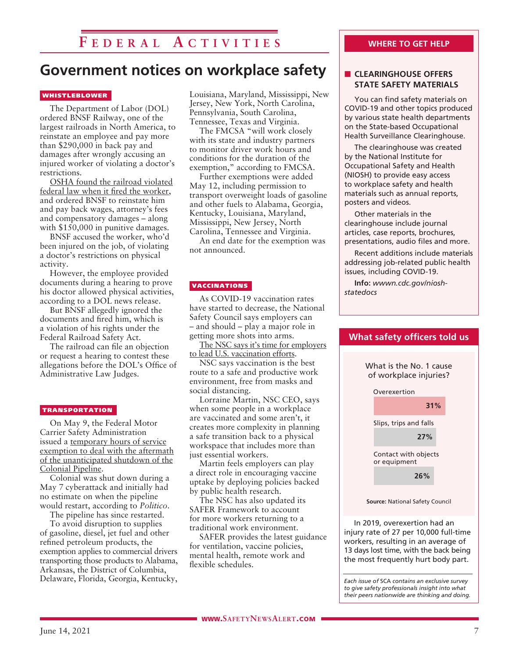# **F e d e r a l A c t i v i t i e s**

# **Government notices on workplace safety**

#### **WHISTLEBLOWER**

The Department of Labor (DOL) ordered BNSF Railway, one of the largest railroads in North America, to reinstate an employee and pay more than \$290,000 in back pay and damages after wrongly accusing an injured worker of violating a doctor's restrictions.

OSHA found the railroad violated federal law when it fired the worker, and ordered BNSF to reinstate him and pay back wages, attorney's fees and compensatory damages – along with \$150,000 in punitive damages.

BNSF accused the worker, who'd been injured on the job, of violating a doctor's restrictions on physical activity.

However, the employee provided documents during a hearing to prove his doctor allowed physical activities, according to a DOL news release.

But BNSF allegedly ignored the documents and fired him, which is a violation of his rights under the Federal Railroad Safety Act.

The railroad can file an objection or request a hearing to contest these allegations before the DOL's Office of Administrative Law Judges.

#### TRANSPORTATION

On May 9, the Federal Motor Carrier Safety Administration issued a temporary hours of service exemption to deal with the aftermath of the unanticipated shutdown of the Colonial Pipeline.

Colonial was shut down during a May 7 cyberattack and initially had no estimate on when the pipeline would restart, according to *Politico*.

The pipeline has since restarted.

To avoid disruption to supplies of gasoline, diesel, jet fuel and other refined petroleum products, the exemption applies to commercial drivers transporting those products to Alabama, Arkansas, the District of Columbia, Delaware, Florida, Georgia, Kentucky,

Louisiana, Maryland, Mississippi, New Jersey, New York, North Carolina, Pennsylvania, South Carolina, Tennessee, Texas and Virginia.

The FMCSA "will work closely with its state and industry partners to monitor driver work hours and conditions for the duration of the exemption," according to FMCSA.

Further exemptions were added May 12, including permission to transport overweight loads of gasoline and other fuels to Alabama, Georgia, Kentucky, Louisiana, Maryland, Mississippi, New Jersey, North Carolina, Tennessee and Virginia.

An end date for the exemption was not announced.

#### VACCINATIONS

As COVID-19 vaccination rates have started to decrease, the National Safety Council says employers can – and should – play a major role in getting more shots into arms.

The NSC says it's time for employers to lead U.S. vaccination efforts.

NSC says vaccination is the best route to a safe and productive work environment, free from masks and social distancing.

Lorraine Martin, NSC CEO, says when some people in a workplace are vaccinated and some aren't, it creates more complexity in planning a safe transition back to a physical workspace that includes more than just essential workers.

Martin feels employers can play a direct role in encouraging vaccine uptake by deploying policies backed by public health research.

The NSC has also updated its SAFER Framework to account for more workers returning to a traditional work environment.

SAFER provides the latest guidance for ventilation, vaccine policies, mental health, remote work and flexible schedules.

# **WHERE TO GET HELP**

#### **N** CLEARINGHOUSE OFFERS **STATE SAFETY MATERIALS**

You can find safety materials on COVID-19 and other topics produced by various state health departments on the State-based Occupational Health Surveillance Clearinghouse.

The clearinghouse was created by the National Institute for Occupational Safety and Health (NIOSH) to provide easy access to workplace safety and health materials such as annual reports, posters and videos.

Other materials in the clearinghouse include journal articles, case reports, brochures, presentations, audio files and more.

Recent additions include materials addressing job-related public health issues, including COVID-19.

**Info:** *wwwn.cdc.gov/nioshstatedocs*



injury rate of 27 per 10,000 full-time workers, resulting in an average of 13 days lost time, with the back being the most frequently hurt body part.

*Each issue of* SCA *contains an exclusive survey to give safety professionals insight into what their peers nationwide are thinking and doing.*